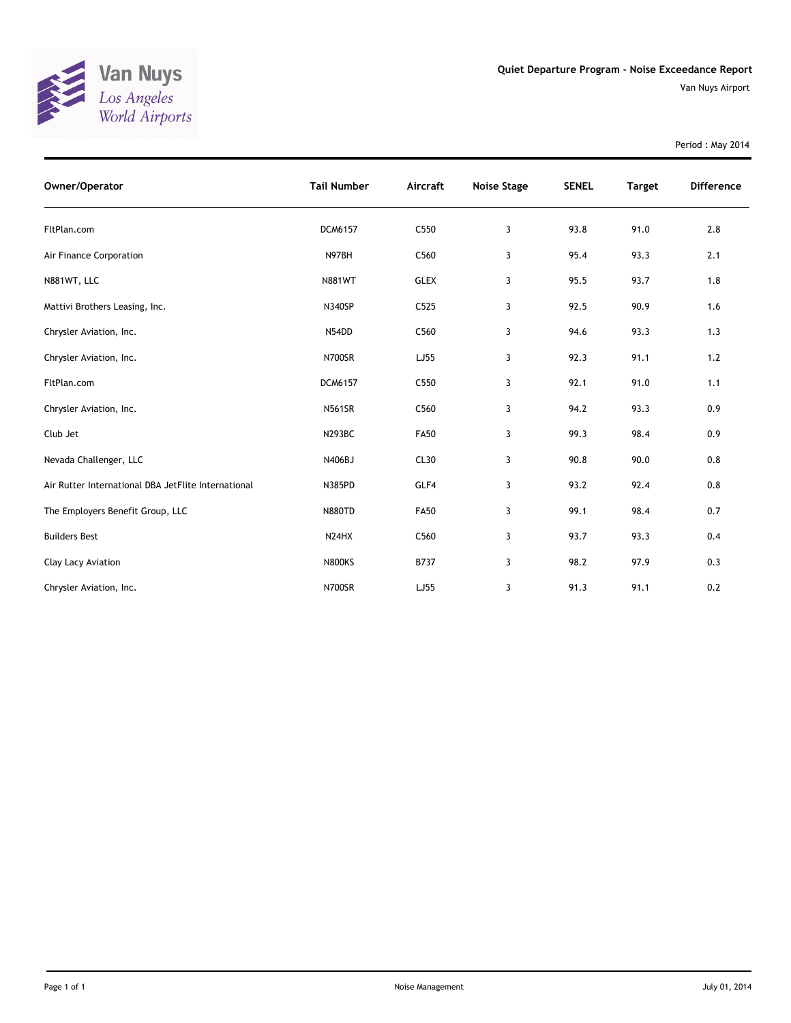

Van Nuys Airport

Period : May 2014

| Owner/Operator                                      | <b>Tail Number</b> | Aircraft    | Noise Stage | <b>SENEL</b> | <b>Target</b> | <b>Difference</b> |
|-----------------------------------------------------|--------------------|-------------|-------------|--------------|---------------|-------------------|
| FltPlan.com                                         | DCM6157            | C550        | 3           | 93.8         | 91.0          | 2.8               |
| Air Finance Corporation                             | N97BH              | C560        | 3           | 95.4         | 93.3          | 2.1               |
| N881WT, LLC                                         | <b>N881WT</b>      | <b>GLEX</b> | 3           | 95.5         | 93.7          | 1.8               |
| Mattivi Brothers Leasing, Inc.                      | <b>N340SP</b>      | C525        | 3           | 92.5         | 90.9          | 1.6               |
| Chrysler Aviation, Inc.                             | N54DD              | C560        | 3           | 94.6         | 93.3          | 1.3               |
| Chrysler Aviation, Inc.                             | <b>N700SR</b>      | LJ55        | 3           | 92.3         | 91.1          | $1.2$             |
| FltPlan.com                                         | DCM6157            | C550        | 3           | 92.1         | 91.0          | 1.1               |
| Chrysler Aviation, Inc.                             | <b>N561SR</b>      | C560        | 3           | 94.2         | 93.3          | 0.9               |
| Club Jet                                            | <b>N293BC</b>      | <b>FA50</b> | 3           | 99.3         | 98.4          | 0.9               |
| Nevada Challenger, LLC                              | N406BJ             | CL30        | 3           | 90.8         | 90.0          | 0.8               |
| Air Rutter International DBA JetFlite International | N385PD             | GLF4        | 3           | 93.2         | 92.4          | 0.8               |
| The Employers Benefit Group, LLC                    | <b>N880TD</b>      | <b>FA50</b> | 3           | 99.1         | 98.4          | 0.7               |
| <b>Builders Best</b>                                | N24HX              | C560        | 3           | 93.7         | 93.3          | 0.4               |
| Clay Lacy Aviation                                  | <b>N800KS</b>      | B737        | 3           | 98.2         | 97.9          | 0.3               |
| Chrysler Aviation, Inc.                             | <b>N700SR</b>      | LJ55        | 3           | 91.3         | 91.1          | 0.2               |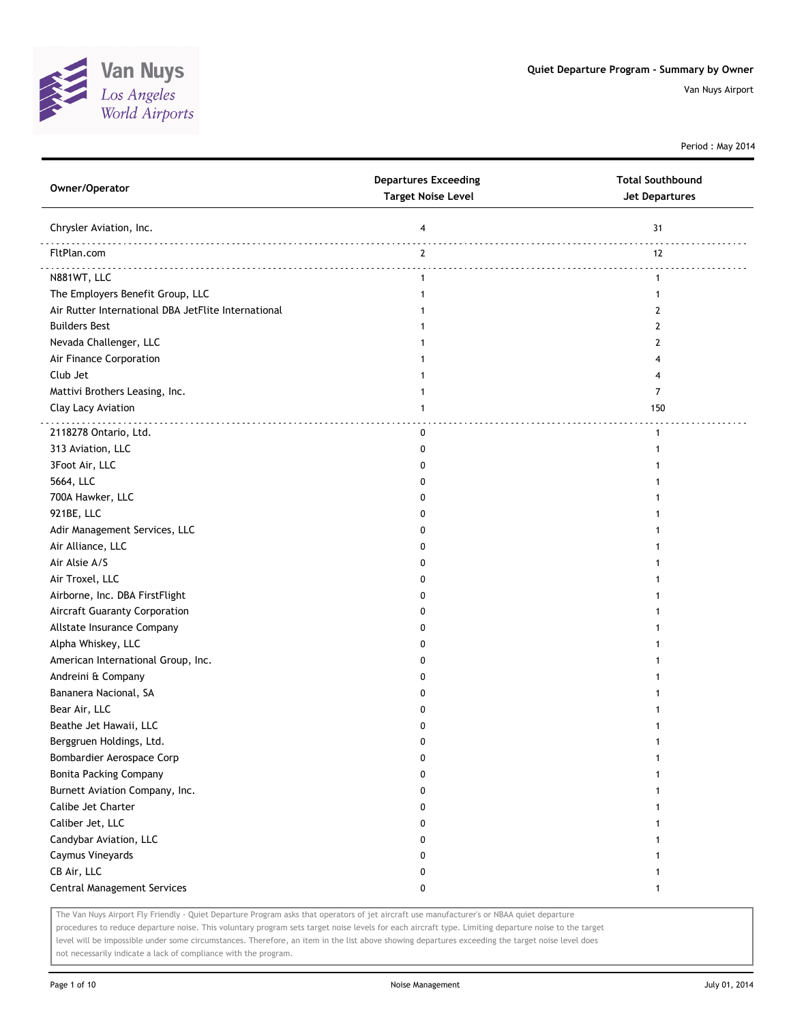

Period : May 2014

| Owner/Operator                                      | <b>Departures Exceeding</b><br><b>Target Noise Level</b> | <b>Total Southbound</b><br><b>Jet Departures</b> |
|-----------------------------------------------------|----------------------------------------------------------|--------------------------------------------------|
| Chrysler Aviation, Inc.                             | 4                                                        | 31                                               |
| FltPlan.com                                         | $\mathbf{2}$                                             | 12                                               |
| N881WT, LLC                                         | $\mathbf{1}$                                             | $\mathbf{1}$                                     |
| The Employers Benefit Group, LLC                    | 1                                                        | 1                                                |
| Air Rutter International DBA JetFlite International | 1                                                        | 2                                                |
| <b>Builders Best</b>                                | 1                                                        | 2                                                |
| Nevada Challenger, LLC                              | 1                                                        | 2                                                |
| Air Finance Corporation                             |                                                          | 4                                                |
| Club Jet                                            |                                                          | 4                                                |
| Mattivi Brothers Leasing, Inc.                      | 1                                                        | $\overline{7}$                                   |
| Clay Lacy Aviation                                  | 1                                                        | 150                                              |
| 2118278 Ontario, Ltd.                               | 0                                                        | $\mathbf{1}$                                     |
| 313 Aviation, LLC                                   | 0                                                        | 1                                                |
| 3Foot Air, LLC                                      | 0                                                        |                                                  |
| 5664, LLC                                           | 0                                                        |                                                  |
| 700A Hawker, LLC                                    | 0                                                        |                                                  |
| 921BE, LLC                                          | 0                                                        |                                                  |
| Adir Management Services, LLC                       | 0                                                        |                                                  |
| Air Alliance, LLC                                   | 0                                                        |                                                  |
| Air Alsie A/S                                       | 0                                                        |                                                  |
| Air Troxel, LLC                                     | 0                                                        |                                                  |
| Airborne, Inc. DBA FirstFlight                      | 0                                                        |                                                  |
| Aircraft Guaranty Corporation                       | 0                                                        |                                                  |
| Allstate Insurance Company                          | 0                                                        |                                                  |
| Alpha Whiskey, LLC                                  | 0                                                        |                                                  |
| American International Group, Inc.                  | 0                                                        |                                                  |
| Andreini & Company                                  | 0                                                        |                                                  |
| Bananera Nacional, SA                               | 0                                                        |                                                  |
| Bear Air, LLC                                       | 0                                                        |                                                  |
| Beathe Jet Hawaii, LLC                              | 0                                                        |                                                  |
| Berggruen Holdings, Ltd.                            | $\Omega$                                                 |                                                  |
| Bombardier Aerospace Corp                           | 0                                                        | 1                                                |
| <b>Bonita Packing Company</b>                       | 0                                                        | 1                                                |
| Burnett Aviation Company, Inc.                      | 0                                                        | 1                                                |
| Calibe Jet Charter                                  | 0                                                        | 1                                                |
| Caliber Jet, LLC                                    | 0                                                        | 1                                                |
| Candybar Aviation, LLC                              | 0                                                        |                                                  |
| Caymus Vineyards                                    | 0                                                        |                                                  |
| CB Air, LLC                                         | 0                                                        |                                                  |
| <b>Central Management Services</b>                  | 0                                                        | 1                                                |

The Van Nuys Airport Fly Friendly - Quiet Departure Program asks that operators of jet aircraft use manufacturer's or NBAA quiet departure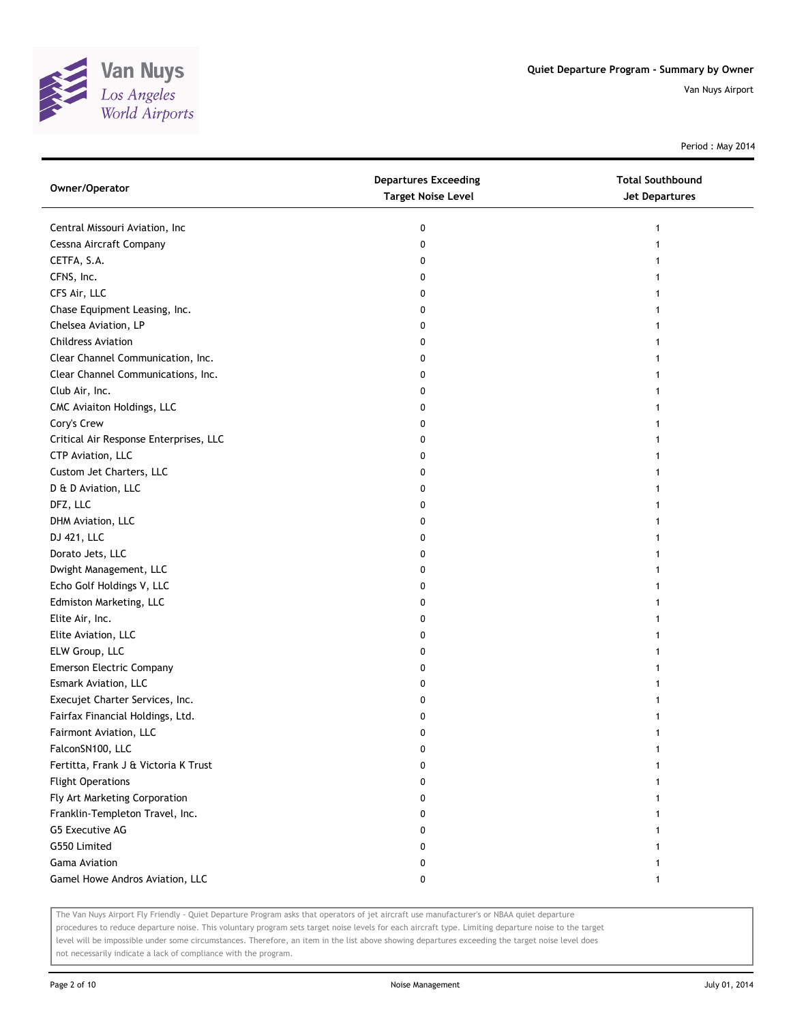

Period : May 2014

| Owner/Operator                         | <b>Departures Exceeding</b><br><b>Target Noise Level</b> | <b>Total Southbound</b><br><b>Jet Departures</b> |
|----------------------------------------|----------------------------------------------------------|--------------------------------------------------|
| Central Missouri Aviation, Inc         | 0                                                        |                                                  |
| Cessna Aircraft Company                | 0                                                        |                                                  |
| CETFA, S.A.                            | 0                                                        |                                                  |
| CFNS, Inc.                             | 0                                                        |                                                  |
| CFS Air, LLC                           | 0                                                        |                                                  |
| Chase Equipment Leasing, Inc.          | 0                                                        |                                                  |
| Chelsea Aviation, LP                   | 0                                                        |                                                  |
| <b>Childress Aviation</b>              | 0                                                        |                                                  |
| Clear Channel Communication, Inc.      | 0                                                        |                                                  |
| Clear Channel Communications, Inc.     | 0                                                        |                                                  |
| Club Air, Inc.                         | 0                                                        |                                                  |
| CMC Aviaiton Holdings, LLC             | 0                                                        |                                                  |
| Cory's Crew                            | 0                                                        |                                                  |
| Critical Air Response Enterprises, LLC | 0                                                        |                                                  |
| CTP Aviation, LLC                      | 0                                                        |                                                  |
| Custom Jet Charters, LLC               | 0                                                        |                                                  |
| D & D Aviation, LLC                    | 0                                                        |                                                  |
| DFZ, LLC                               | 0                                                        |                                                  |
| DHM Aviation, LLC                      | 0                                                        |                                                  |
| DJ 421, LLC                            | 0                                                        |                                                  |
| Dorato Jets, LLC                       | 0                                                        |                                                  |
| Dwight Management, LLC                 | 0                                                        |                                                  |
| Echo Golf Holdings V, LLC              | 0                                                        |                                                  |
| Edmiston Marketing, LLC                | 0                                                        |                                                  |
| Elite Air, Inc.                        | 0                                                        |                                                  |
| Elite Aviation, LLC                    | 0                                                        |                                                  |
| ELW Group, LLC                         | 0                                                        |                                                  |
| <b>Emerson Electric Company</b>        | 0                                                        |                                                  |
| Esmark Aviation, LLC                   | 0                                                        |                                                  |
| Execujet Charter Services, Inc.        | 0                                                        |                                                  |
| Fairfax Financial Holdings, Ltd.       | 0                                                        |                                                  |
| Fairmont Aviation, LLC                 | 0                                                        |                                                  |
| FalconSN100, LLC                       | 0                                                        |                                                  |
| Fertitta, Frank J & Victoria K Trust   | 0                                                        |                                                  |
| <b>Flight Operations</b>               | 0                                                        |                                                  |
| Fly Art Marketing Corporation          | 0                                                        |                                                  |
| Franklin-Templeton Travel, Inc.        | 0                                                        |                                                  |
| G5 Executive AG                        | 0                                                        |                                                  |
| G550 Limited                           | 0                                                        |                                                  |
| Gama Aviation                          | 0                                                        |                                                  |
| Gamel Howe Andros Aviation, LLC        | 0                                                        | 1                                                |

The Van Nuys Airport Fly Friendly - Quiet Departure Program asks that operators of jet aircraft use manufacturer's or NBAA quiet departure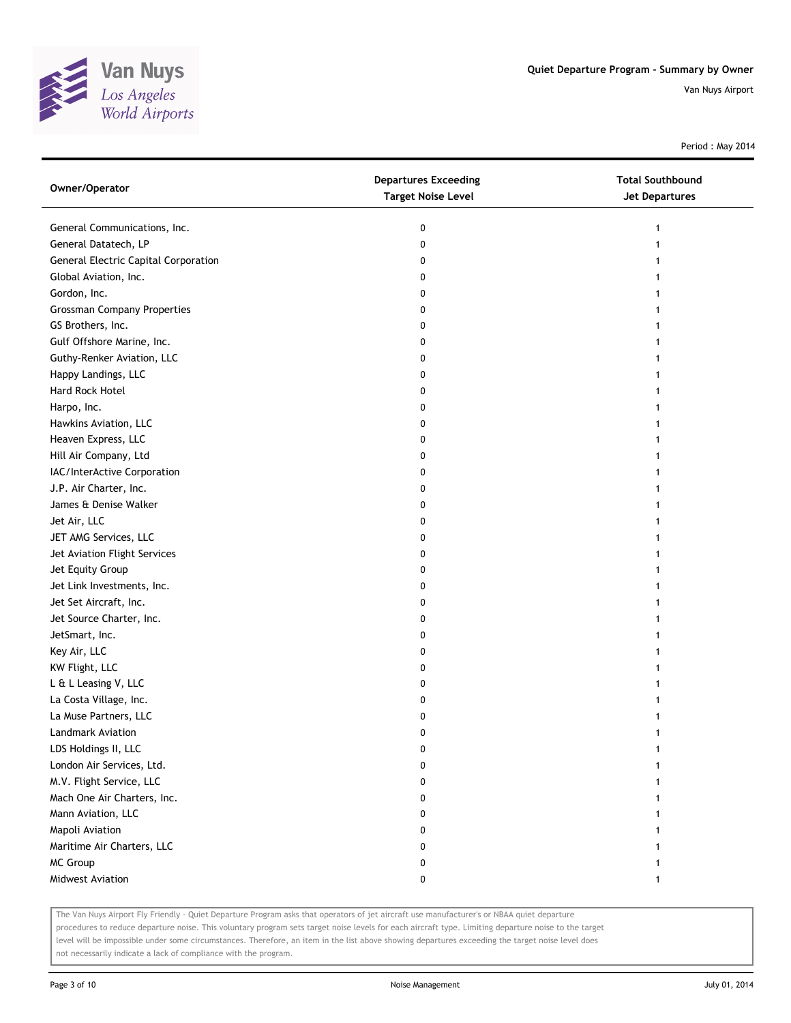

Period : May 2014

| Owner/Operator                       | <b>Departures Exceeding</b><br><b>Target Noise Level</b> | <b>Total Southbound</b><br><b>Jet Departures</b> |
|--------------------------------------|----------------------------------------------------------|--------------------------------------------------|
| General Communications, Inc.         | 0                                                        | 1                                                |
| General Datatech, LP                 | 0                                                        |                                                  |
| General Electric Capital Corporation | 0                                                        |                                                  |
| Global Aviation, Inc.                | 0                                                        |                                                  |
| Gordon, Inc.                         | 0                                                        |                                                  |
| <b>Grossman Company Properties</b>   | 0                                                        |                                                  |
| GS Brothers, Inc.                    | 0                                                        |                                                  |
| Gulf Offshore Marine, Inc.           | 0                                                        |                                                  |
| Guthy-Renker Aviation, LLC           | 0                                                        |                                                  |
| Happy Landings, LLC                  | 0                                                        |                                                  |
| Hard Rock Hotel                      | 0                                                        |                                                  |
| Harpo, Inc.                          | 0                                                        |                                                  |
| Hawkins Aviation, LLC                | 0                                                        |                                                  |
| Heaven Express, LLC                  | 0                                                        |                                                  |
| Hill Air Company, Ltd                | 0                                                        |                                                  |
| IAC/InterActive Corporation          | 0                                                        |                                                  |
| J.P. Air Charter, Inc.               | 0                                                        |                                                  |
| James & Denise Walker                | 0                                                        |                                                  |
| Jet Air, LLC                         | 0                                                        |                                                  |
| JET AMG Services, LLC                | 0                                                        |                                                  |
| Jet Aviation Flight Services         | 0                                                        |                                                  |
| Jet Equity Group                     | 0                                                        |                                                  |
| Jet Link Investments, Inc.           | 0                                                        |                                                  |
| Jet Set Aircraft, Inc.               | 0                                                        |                                                  |
| Jet Source Charter, Inc.             | 0                                                        |                                                  |
| JetSmart, Inc.                       | 0                                                        |                                                  |
| Key Air, LLC                         | 0                                                        |                                                  |
| KW Flight, LLC                       | 0                                                        |                                                  |
| L & L Leasing V, LLC                 | 0                                                        |                                                  |
| La Costa Village, Inc.               | 0                                                        |                                                  |
| La Muse Partners, LLC                | 0                                                        |                                                  |
| <b>Landmark Aviation</b>             | 0                                                        |                                                  |
| LDS Holdings II, LLC                 | 0                                                        |                                                  |
| London Air Services, Ltd.            | 0                                                        |                                                  |
| M.V. Flight Service, LLC             | 0                                                        |                                                  |
| Mach One Air Charters, Inc.          | 0                                                        |                                                  |
| Mann Aviation, LLC                   | 0                                                        |                                                  |
| Mapoli Aviation                      | 0                                                        |                                                  |
| Maritime Air Charters, LLC           | 0                                                        |                                                  |
| MC Group                             | 0                                                        |                                                  |
| Midwest Aviation                     | 0                                                        | 1                                                |

The Van Nuys Airport Fly Friendly - Quiet Departure Program asks that operators of jet aircraft use manufacturer's or NBAA quiet departure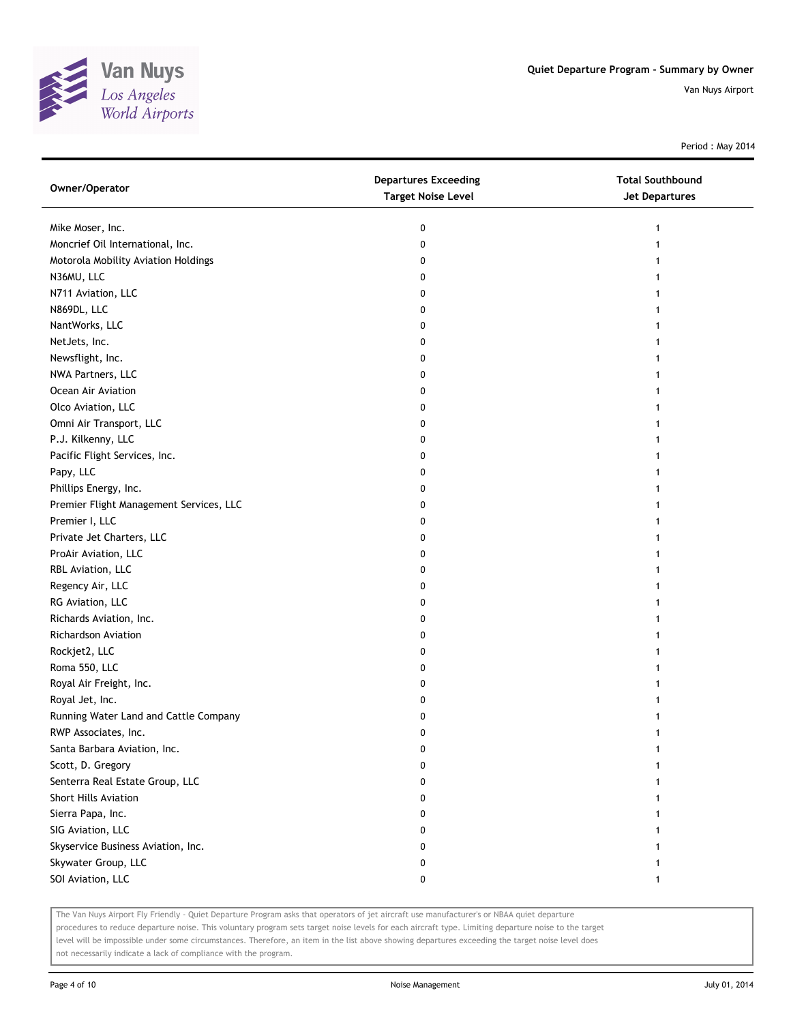

Period : May 2014

| Owner/Operator                          | <b>Departures Exceeding</b><br><b>Target Noise Level</b> | <b>Total Southbound</b><br><b>Jet Departures</b> |
|-----------------------------------------|----------------------------------------------------------|--------------------------------------------------|
| Mike Moser, Inc.                        | 0                                                        |                                                  |
| Moncrief Oil International, Inc.        | 0                                                        |                                                  |
| Motorola Mobility Aviation Holdings     | 0                                                        |                                                  |
| N36MU, LLC                              | 0                                                        |                                                  |
| N711 Aviation, LLC                      | 0                                                        |                                                  |
| N869DL, LLC                             | 0                                                        |                                                  |
| NantWorks, LLC                          | 0                                                        |                                                  |
| NetJets, Inc.                           | 0                                                        |                                                  |
| Newsflight, Inc.                        | 0                                                        |                                                  |
| NWA Partners, LLC                       | 0                                                        |                                                  |
| Ocean Air Aviation                      | 0                                                        |                                                  |
| Olco Aviation, LLC                      | 0                                                        |                                                  |
| Omni Air Transport, LLC                 | 0                                                        |                                                  |
| P.J. Kilkenny, LLC                      | 0                                                        |                                                  |
| Pacific Flight Services, Inc.           | 0                                                        |                                                  |
| Papy, LLC                               | 0                                                        |                                                  |
| Phillips Energy, Inc.                   | 0                                                        |                                                  |
| Premier Flight Management Services, LLC | 0                                                        |                                                  |
| Premier I, LLC                          | 0                                                        |                                                  |
| Private Jet Charters, LLC               | 0                                                        |                                                  |
| ProAir Aviation, LLC                    | 0                                                        |                                                  |
| RBL Aviation, LLC                       | 0                                                        |                                                  |
| Regency Air, LLC                        | 0                                                        |                                                  |
| RG Aviation, LLC                        | 0                                                        |                                                  |
| Richards Aviation, Inc.                 | 0                                                        |                                                  |
| <b>Richardson Aviation</b>              | 0                                                        |                                                  |
| Rockjet2, LLC                           | 0                                                        |                                                  |
| Roma 550, LLC                           | 0                                                        |                                                  |
| Royal Air Freight, Inc.                 | 0                                                        |                                                  |
| Royal Jet, Inc.                         | 0                                                        |                                                  |
| Running Water Land and Cattle Company   | 0                                                        |                                                  |
| RWP Associates, Inc.                    | 0                                                        |                                                  |
| Santa Barbara Aviation, Inc.            | 0                                                        |                                                  |
| Scott, D. Gregory                       | 0                                                        |                                                  |
| Senterra Real Estate Group, LLC         | 0                                                        |                                                  |
| <b>Short Hills Aviation</b>             | 0                                                        |                                                  |
| Sierra Papa, Inc.                       | 0                                                        |                                                  |
| SIG Aviation, LLC                       | 0                                                        |                                                  |
| Skyservice Business Aviation, Inc.      | 0                                                        |                                                  |
| Skywater Group, LLC                     | 0                                                        |                                                  |
| SOI Aviation, LLC                       | 0                                                        | 1                                                |

The Van Nuys Airport Fly Friendly - Quiet Departure Program asks that operators of jet aircraft use manufacturer's or NBAA quiet departure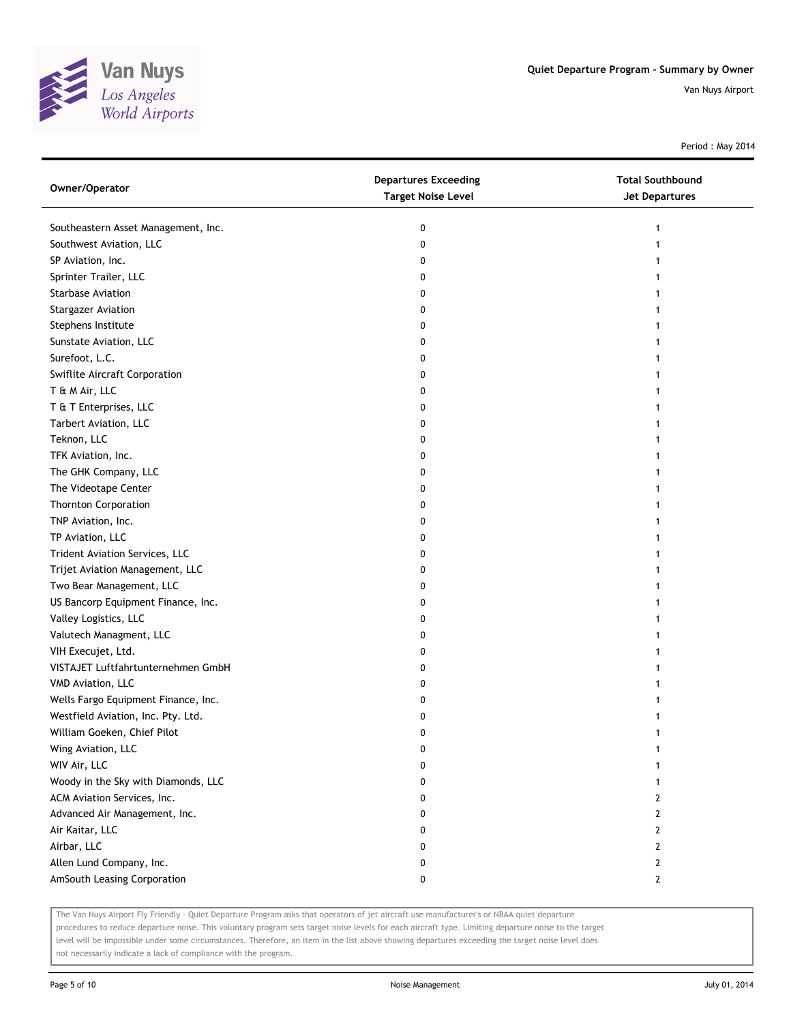

Period : May 2014

| Owner/Operator                      | <b>Departures Exceeding</b><br><b>Target Noise Level</b> | <b>Total Southbound</b><br><b>Jet Departures</b> |
|-------------------------------------|----------------------------------------------------------|--------------------------------------------------|
| Southeastern Asset Management, Inc. | 0                                                        |                                                  |
| Southwest Aviation, LLC             | 0                                                        |                                                  |
| SP Aviation, Inc.                   | 0                                                        |                                                  |
| Sprinter Trailer, LLC               | 0                                                        |                                                  |
| <b>Starbase Aviation</b>            | 0                                                        |                                                  |
| <b>Stargazer Aviation</b>           | 0                                                        |                                                  |
| Stephens Institute                  | 0                                                        |                                                  |
| Sunstate Aviation, LLC              | 0                                                        |                                                  |
| Surefoot, L.C.                      | 0                                                        |                                                  |
| Swiflite Aircraft Corporation       | 0                                                        |                                                  |
| T & M Air, LLC                      | 0                                                        |                                                  |
| T & T Enterprises, LLC              | 0                                                        |                                                  |
| Tarbert Aviation, LLC               | 0                                                        |                                                  |
| Teknon, LLC                         | 0                                                        |                                                  |
| TFK Aviation, Inc.                  | 0                                                        |                                                  |
| The GHK Company, LLC                | 0                                                        |                                                  |
| The Videotape Center                | 0                                                        |                                                  |
| <b>Thornton Corporation</b>         | 0                                                        |                                                  |
| TNP Aviation, Inc.                  | 0                                                        |                                                  |
| TP Aviation, LLC                    | 0                                                        |                                                  |
| Trident Aviation Services, LLC      | 0                                                        |                                                  |
| Trijet Aviation Management, LLC     | 0                                                        |                                                  |
| Two Bear Management, LLC            | 0                                                        |                                                  |
| US Bancorp Equipment Finance, Inc.  | 0                                                        |                                                  |
| Valley Logistics, LLC               | 0                                                        |                                                  |
| Valutech Managment, LLC             | 0                                                        |                                                  |
| VIH Execujet, Ltd.                  | 0                                                        |                                                  |
| VISTAJET Luftfahrtunternehmen GmbH  | 0                                                        |                                                  |
| VMD Aviation, LLC                   | 0                                                        |                                                  |
| Wells Fargo Equipment Finance, Inc. | 0                                                        |                                                  |
| Westfield Aviation, Inc. Pty. Ltd.  | 0                                                        |                                                  |
| William Goeken, Chief Pilot         | 0                                                        |                                                  |
| Wing Aviation, LLC                  | U                                                        |                                                  |
| WIV Air, LLC                        | 0                                                        |                                                  |
| Woody in the Sky with Diamonds, LLC | 0                                                        |                                                  |
| ACM Aviation Services, Inc.         | 0                                                        | 2                                                |
| Advanced Air Management, Inc.       | 0                                                        | 2                                                |
| Air Kaitar, LLC                     | 0                                                        | 2                                                |
| Airbar, LLC                         | 0                                                        | 2                                                |
| Allen Lund Company, Inc.            | 0                                                        | 2                                                |
| AmSouth Leasing Corporation         | 0                                                        | $\mathbf{2}$                                     |

The Van Nuys Airport Fly Friendly - Quiet Departure Program asks that operators of jet aircraft use manufacturer's or NBAA quiet departure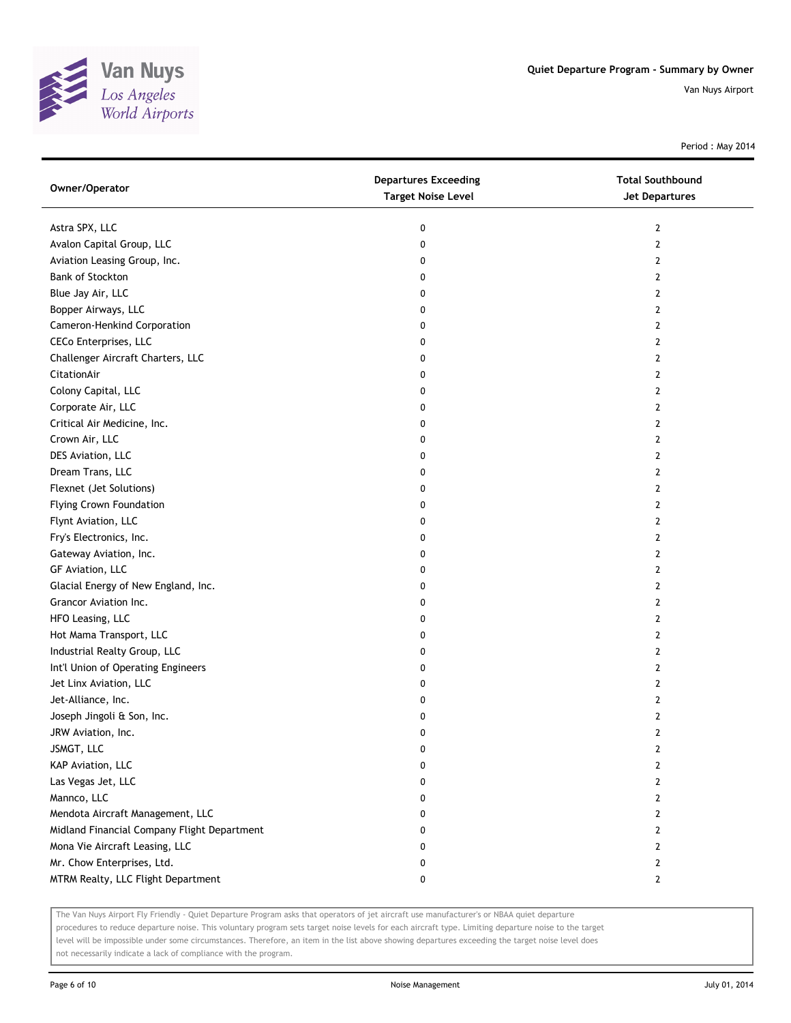

Period : May 2014

| Owner/Operator                              | <b>Departures Exceeding</b><br><b>Target Noise Level</b> | <b>Total Southbound</b><br><b>Jet Departures</b> |
|---------------------------------------------|----------------------------------------------------------|--------------------------------------------------|
| Astra SPX, LLC                              | 0                                                        | 2                                                |
| Avalon Capital Group, LLC                   | 0                                                        | 2                                                |
| Aviation Leasing Group, Inc.                | 0                                                        | 2                                                |
| Bank of Stockton                            | 0                                                        | 2                                                |
| Blue Jay Air, LLC                           | 0                                                        | 2                                                |
| Bopper Airways, LLC                         | 0                                                        | 2                                                |
| Cameron-Henkind Corporation                 | 0                                                        | 2                                                |
| CECo Enterprises, LLC                       | 0                                                        | 2                                                |
| Challenger Aircraft Charters, LLC           | 0                                                        | 2                                                |
| CitationAir                                 | 0                                                        | 2                                                |
| Colony Capital, LLC                         | 0                                                        | 2                                                |
| Corporate Air, LLC                          | 0                                                        | 2                                                |
| Critical Air Medicine, Inc.                 | 0                                                        | 2                                                |
| Crown Air, LLC                              | 0                                                        | 2                                                |
| DES Aviation, LLC                           | 0                                                        | 2                                                |
| Dream Trans, LLC                            | 0                                                        | 2                                                |
| Flexnet (Jet Solutions)                     | 0                                                        | 2                                                |
| <b>Flying Crown Foundation</b>              | 0                                                        | 2                                                |
| Flynt Aviation, LLC                         | 0                                                        | 2                                                |
| Fry's Electronics, Inc.                     | 0                                                        | 2                                                |
| Gateway Aviation, Inc.                      | 0                                                        | 2                                                |
| GF Aviation, LLC                            | 0                                                        | 2                                                |
| Glacial Energy of New England, Inc.         | 0                                                        | 2                                                |
| Grancor Aviation Inc.                       | 0                                                        | 2                                                |
| HFO Leasing, LLC                            | 0                                                        | 2                                                |
| Hot Mama Transport, LLC                     | 0                                                        | 2                                                |
| Industrial Realty Group, LLC                | 0                                                        | 2                                                |
| Int'l Union of Operating Engineers          | 0                                                        | 2                                                |
| Jet Linx Aviation, LLC                      | 0                                                        | 2                                                |
| Jet-Alliance, Inc.                          | 0                                                        | 2                                                |
| Joseph Jingoli & Son, Inc.                  | 0                                                        | 2                                                |
| JRW Aviation, Inc.                          | 0                                                        | 2                                                |
| JSMGT, LLC                                  | 0                                                        | 2                                                |
| KAP Aviation, LLC                           | 0                                                        | 2                                                |
| Las Vegas Jet, LLC                          | 0                                                        | 2                                                |
| Mannco, LLC                                 | 0                                                        | 2                                                |
| Mendota Aircraft Management, LLC            | 0                                                        | 2                                                |
| Midland Financial Company Flight Department | 0                                                        | 2                                                |
| Mona Vie Aircraft Leasing, LLC              | 0                                                        | 2                                                |
| Mr. Chow Enterprises, Ltd.                  | 0                                                        | $\mathbf{2}$                                     |
| MTRM Realty, LLC Flight Department          | 0                                                        | 2                                                |

The Van Nuys Airport Fly Friendly - Quiet Departure Program asks that operators of jet aircraft use manufacturer's or NBAA quiet departure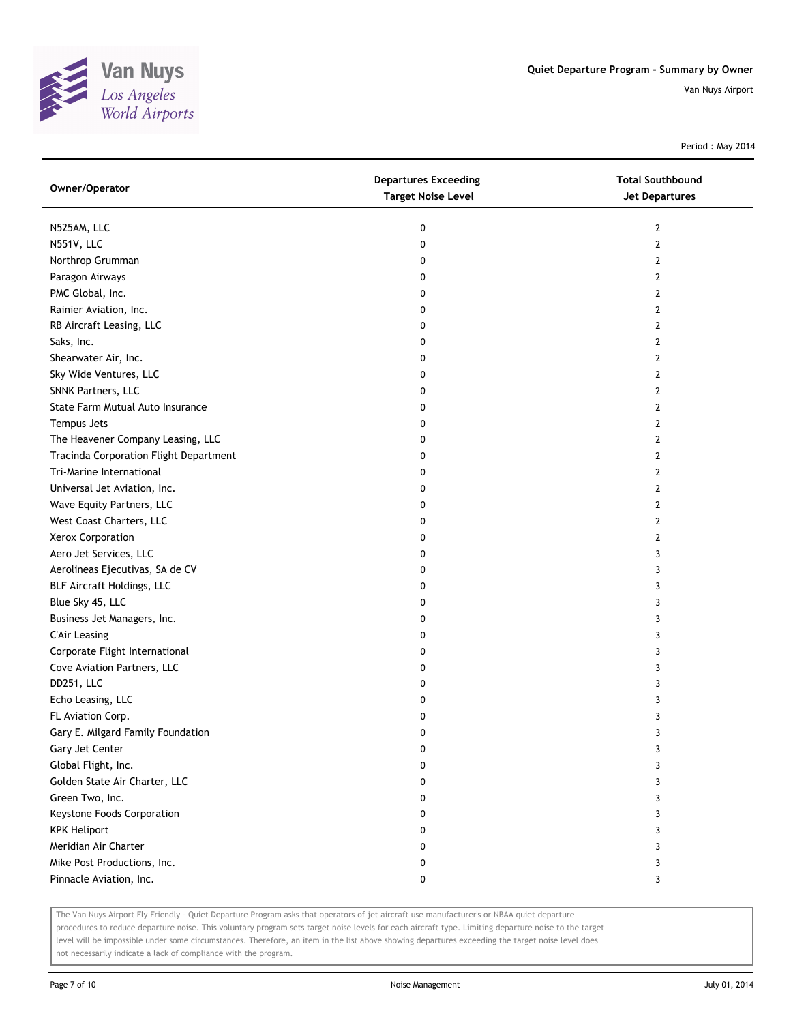

Period : May 2014

| Owner/Operator                         | <b>Departures Exceeding</b><br><b>Target Noise Level</b> | <b>Total Southbound</b><br><b>Jet Departures</b> |
|----------------------------------------|----------------------------------------------------------|--------------------------------------------------|
| N525AM, LLC                            | 0                                                        | $\mathbf{2}$                                     |
| N551V, LLC                             | 0                                                        | $\mathbf{2}$                                     |
| Northrop Grumman                       | 0                                                        | 2                                                |
| Paragon Airways                        | 0                                                        | 2                                                |
| PMC Global, Inc.                       | 0                                                        | $\overline{2}$                                   |
| Rainier Aviation, Inc.                 | 0                                                        | 2                                                |
| RB Aircraft Leasing, LLC               | 0                                                        | 2                                                |
| Saks, Inc.                             | 0                                                        | 2                                                |
| Shearwater Air, Inc.                   | 0                                                        | 2                                                |
| Sky Wide Ventures, LLC                 | 0                                                        | $\overline{2}$                                   |
| SNNK Partners, LLC                     | 0                                                        | $\overline{2}$                                   |
| State Farm Mutual Auto Insurance       | 0                                                        | 2                                                |
| Tempus Jets                            | 0                                                        | 2                                                |
| The Heavener Company Leasing, LLC      | 0                                                        | 2                                                |
| Tracinda Corporation Flight Department | 0                                                        | $\overline{2}$                                   |
| Tri-Marine International               | 0                                                        | 2                                                |
| Universal Jet Aviation, Inc.           | 0                                                        | 2                                                |
| Wave Equity Partners, LLC              | 0                                                        | 2                                                |
| West Coast Charters, LLC               | 0                                                        | 2                                                |
| Xerox Corporation                      | 0                                                        | $\overline{2}$                                   |
| Aero Jet Services, LLC                 | 0                                                        | 3                                                |
| Aerolineas Ejecutivas, SA de CV        | 0                                                        | 3                                                |
| BLF Aircraft Holdings, LLC             | 0                                                        | 3                                                |
| Blue Sky 45, LLC                       | 0                                                        | 3                                                |
| Business Jet Managers, Inc.            | 0                                                        | 3                                                |
| <b>C'Air Leasing</b>                   | 0                                                        | 3                                                |
| Corporate Flight International         | 0                                                        | 3                                                |
| Cove Aviation Partners, LLC            | 0                                                        | 3                                                |
| DD251, LLC                             | 0                                                        | 3                                                |
| Echo Leasing, LLC                      | 0                                                        | 3                                                |
| FL Aviation Corp.                      | 0                                                        | 3                                                |
| Gary E. Milgard Family Foundation      | 0                                                        | 3                                                |
| Gary Jet Center                        | 0                                                        | 3                                                |
| Global Flight, Inc.                    | 0                                                        | 3                                                |
| Golden State Air Charter, LLC          | 0                                                        | 3                                                |
| Green Two, Inc.                        | 0                                                        | 3                                                |
| Keystone Foods Corporation             | 0                                                        | 3                                                |
| <b>KPK Heliport</b>                    | 0                                                        | 3                                                |
| Meridian Air Charter                   | 0                                                        | 3                                                |
| Mike Post Productions, Inc.            | 0                                                        | 3                                                |
| Pinnacle Aviation, Inc.                | 0                                                        | 3                                                |

The Van Nuys Airport Fly Friendly - Quiet Departure Program asks that operators of jet aircraft use manufacturer's or NBAA quiet departure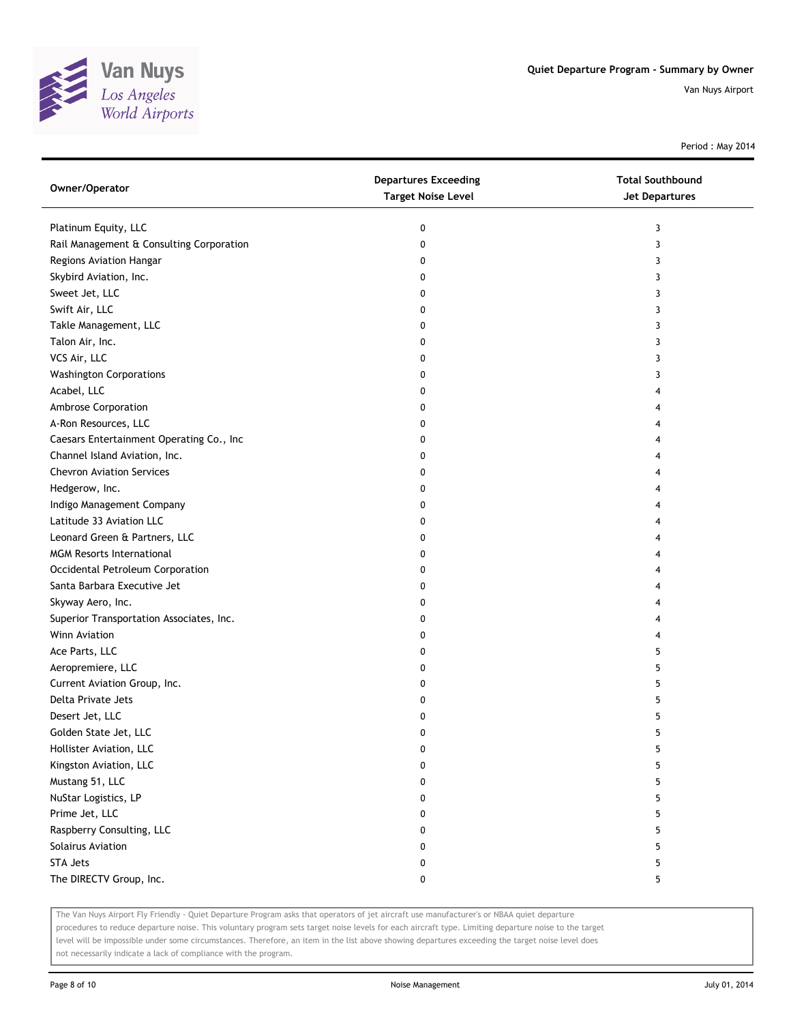

Period : May 2014

| Owner/Operator                           | <b>Departures Exceeding</b><br><b>Target Noise Level</b> | <b>Total Southbound</b><br><b>Jet Departures</b> |
|------------------------------------------|----------------------------------------------------------|--------------------------------------------------|
| Platinum Equity, LLC                     | 0                                                        | 3                                                |
| Rail Management & Consulting Corporation | 0                                                        | 3                                                |
| Regions Aviation Hangar                  | 0                                                        | 3                                                |
| Skybird Aviation, Inc.                   | 0                                                        | 3                                                |
| Sweet Jet, LLC                           | 0                                                        | 3                                                |
| Swift Air, LLC                           | 0                                                        | 3                                                |
| Takle Management, LLC                    | 0                                                        | 3                                                |
| Talon Air, Inc.                          | 0                                                        | 3                                                |
| VCS Air, LLC                             | 0                                                        | 3                                                |
| <b>Washington Corporations</b>           | 0                                                        | 3                                                |
| Acabel, LLC                              | 0                                                        |                                                  |
| Ambrose Corporation                      | 0                                                        |                                                  |
| A-Ron Resources, LLC                     | 0                                                        |                                                  |
| Caesars Entertainment Operating Co., Inc | 0                                                        |                                                  |
| Channel Island Aviation, Inc.            | 0                                                        |                                                  |
| <b>Chevron Aviation Services</b>         | 0                                                        |                                                  |
| Hedgerow, Inc.                           | 0                                                        | 4                                                |
| Indigo Management Company                | 0                                                        | 4                                                |
| Latitude 33 Aviation LLC                 | 0                                                        | 4                                                |
| Leonard Green & Partners, LLC            | 0                                                        | 4                                                |
| <b>MGM Resorts International</b>         | 0                                                        |                                                  |
| Occidental Petroleum Corporation         | 0                                                        |                                                  |
| Santa Barbara Executive Jet              | 0                                                        | 4                                                |
| Skyway Aero, Inc.                        | 0                                                        |                                                  |
| Superior Transportation Associates, Inc. | 0                                                        |                                                  |
| Winn Aviation                            | 0                                                        | 4                                                |
| Ace Parts, LLC                           | 0                                                        | 5                                                |
| Aeropremiere, LLC                        | 0                                                        | 5                                                |
| Current Aviation Group, Inc.             | 0                                                        | 5                                                |
| Delta Private Jets                       | 0                                                        | 5                                                |
| Desert Jet, LLC                          | 0                                                        | 5                                                |
| Golden State Jet, LLC                    | 0                                                        | 5                                                |
| Hollister Aviation, LLC                  | 0                                                        | 5                                                |
| Kingston Aviation, LLC                   | 0                                                        | 5                                                |
| Mustang 51, LLC                          | 0                                                        | 5                                                |
| NuStar Logistics, LP                     | 0                                                        | 5                                                |
| Prime Jet, LLC                           | 0                                                        | 5                                                |
| Raspberry Consulting, LLC                | 0                                                        | 5                                                |
| Solairus Aviation                        | 0                                                        | 5                                                |
| <b>STA Jets</b>                          | 0                                                        | 5                                                |
| The DIRECTV Group, Inc.                  | 0                                                        | 5                                                |

The Van Nuys Airport Fly Friendly - Quiet Departure Program asks that operators of jet aircraft use manufacturer's or NBAA quiet departure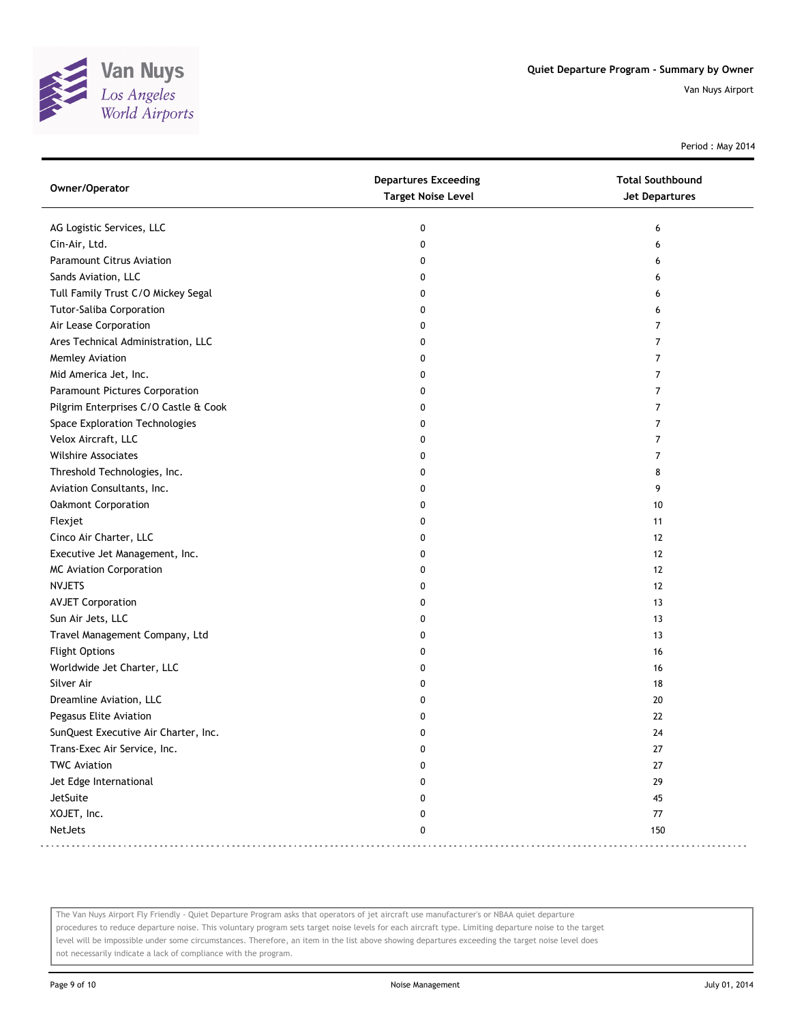

Period : May 2014

| Owner/Operator                        | <b>Departures Exceeding</b><br><b>Target Noise Level</b> | <b>Total Southbound</b><br><b>Jet Departures</b> |
|---------------------------------------|----------------------------------------------------------|--------------------------------------------------|
| AG Logistic Services, LLC             | 0                                                        | 6                                                |
| Cin-Air, Ltd.                         | $\mathbf 0$                                              | 6                                                |
| <b>Paramount Citrus Aviation</b>      | 0                                                        | 6                                                |
| Sands Aviation, LLC                   | 0                                                        | 6                                                |
| Tull Family Trust C/O Mickey Segal    | 0                                                        | 6                                                |
| <b>Tutor-Saliba Corporation</b>       | 0                                                        | 6                                                |
| Air Lease Corporation                 | 0                                                        | 7                                                |
| Ares Technical Administration, LLC    | 0                                                        | 7                                                |
| Memley Aviation                       | 0                                                        | 7                                                |
| Mid America Jet, Inc.                 | 0                                                        | 7                                                |
| Paramount Pictures Corporation        | 0                                                        | 7                                                |
| Pilgrim Enterprises C/O Castle & Cook | 0                                                        | 7                                                |
| Space Exploration Technologies        | 0                                                        | 7                                                |
| Velox Aircraft, LLC                   | 0                                                        | 7                                                |
| <b>Wilshire Associates</b>            | 0                                                        | 7                                                |
| Threshold Technologies, Inc.          | 0                                                        | 8                                                |
| Aviation Consultants, Inc.            | 0                                                        | 9                                                |
| Oakmont Corporation                   | 0                                                        | 10                                               |
| Flexjet                               | 0                                                        | 11                                               |
| Cinco Air Charter, LLC                | 0                                                        | 12                                               |
| Executive Jet Management, Inc.        | 0                                                        | 12                                               |
| <b>MC Aviation Corporation</b>        | 0                                                        | 12                                               |
| <b>NVJETS</b>                         | 0                                                        | 12                                               |
| <b>AVJET Corporation</b>              | 0                                                        | 13                                               |
| Sun Air Jets, LLC                     | 0                                                        | 13                                               |
| Travel Management Company, Ltd        | 0                                                        | 13                                               |
| <b>Flight Options</b>                 | 0                                                        | 16                                               |
| Worldwide Jet Charter, LLC            | 0                                                        | 16                                               |
| Silver Air                            | 0                                                        | 18                                               |
| Dreamline Aviation, LLC               | 0                                                        | 20                                               |
| Pegasus Elite Aviation                | 0                                                        | 22                                               |
| SunQuest Executive Air Charter, Inc.  | 0                                                        | 24                                               |
| Trans-Exec Air Service, Inc.          | 0                                                        | 27                                               |
| <b>TWC Aviation</b>                   | 0                                                        | 27                                               |
| Jet Edge International                | 0                                                        | 29                                               |
| JetSuite                              | 0                                                        | 45                                               |
| XOJET, Inc.                           | 0                                                        | 77                                               |
| NetJets                               | 0                                                        | 150                                              |

The Van Nuys Airport Fly Friendly - Quiet Departure Program asks that operators of jet aircraft use manufacturer's or NBAA quiet departure procedures to reduce departure noise. This voluntary program sets target noise levels for each aircraft type. Limiting departure noise to the target level will be impossible under some circumstances. Therefore, an item in the list above showing departures exceeding the target noise level does not necessarily indicate a lack of compliance with the program.